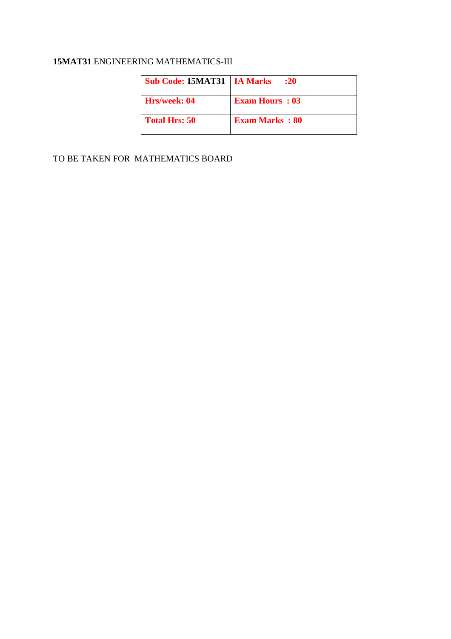# **15MAT31** ENGINEERING MATHEMATICS-III

| <b>Sub Code: 15MAT31   IA Marks</b> | : 20                  |
|-------------------------------------|-----------------------|
| Hrs/week: 04                        | <b>Exam Hours: 03</b> |
| <b>Total Hrs: 50</b>                | <b>Exam Marks: 80</b> |

TO BE TAKEN FOR MATHEMATICS BOARD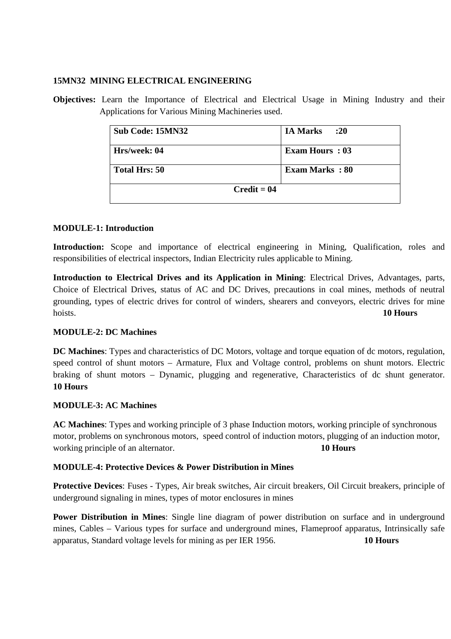#### **15MN32 MINING ELECTRICAL ENGINEERING**

**Objectives:** Learn the Importance of Electrical and Electrical Usage in Mining Industry and their Applications for Various Mining Machineries used.

| Sub Code: 15MN32 | :20<br><b>IA Marks</b> |
|------------------|------------------------|
| Hrs/week: 04     | <b>Exam Hours: 03</b>  |
| Total Hrs: 50    | <b>Exam Marks: 80</b>  |
| $Credit = 04$    |                        |

#### **MODULE-1: Introduction**

**Introduction:** Scope and importance of electrical engineering in Mining, Qualification, roles and responsibilities of electrical inspectors, Indian Electricity rules applicable to Mining.

**Introduction to Electrical Drives and its Application in Mining**: Electrical Drives, Advantages, parts, Choice of Electrical Drives, status of AC and DC Drives, precautions in coal mines, methods of neutral grounding, types of electric drives for control of winders, shearers and conveyors, electric drives for mine hoists. **10 Hours**

#### **MODULE-2: DC Machines**

**DC Machines**: Types and characteristics of DC Motors, voltage and torque equation of dc motors, regulation, speed control of shunt motors – Armature, Flux and Voltage control, problems on shunt motors. Electric braking of shunt motors – Dynamic, plugging and regenerative, Characteristics of dc shunt generator. **10 Hours**

#### **MODULE-3: AC Machines**

**AC Machines**: Types and working principle of 3 phase Induction motors, working principle of synchronous motor, problems on synchronous motors, speed control of induction motors, plugging of an induction motor, working principle of an alternator. **10 Hours** 

#### **MODULE-4: Protective Devices & Power Distribution in Mines**

**Protective Devices**: Fuses - Types, Air break switches, Air circuit breakers, Oil Circuit breakers, principle of underground signaling in mines, types of motor enclosures in mines

**Power Distribution in Mines**: Single line diagram of power distribution on surface and in underground mines, Cables – Various types for surface and underground mines, Flameproof apparatus, Intrinsically safe apparatus, Standard voltage levels for mining as per IER 1956. **10 Hours**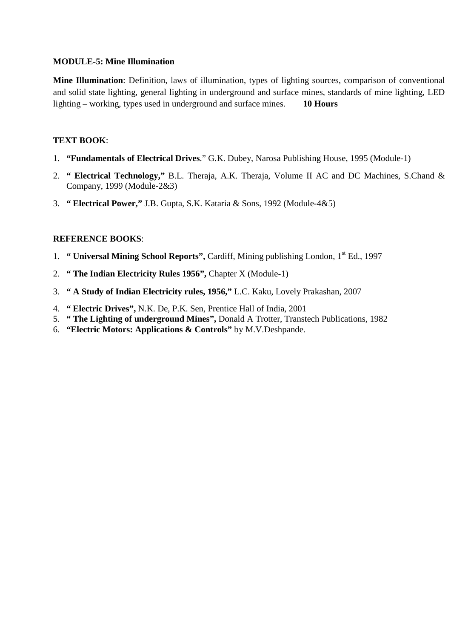#### **MODULE-5: Mine Illumination**

**Mine Illumination**: Definition, laws of illumination, types of lighting sources, comparison of conventional and solid state lighting, general lighting in underground and surface mines, standards of mine lighting, LED lighting – working, types used in underground and surface mines. **10 Hours**

## **TEXT BOOK**:

- 1. **"Fundamentals of Electrical Drives**." G.K. Dubey, Narosa Publishing House, 1995 (Module-1)
- 2. **" Electrical Technology,"** B.L. Theraja, A.K. Theraja, Volume II AC and DC Machines, S.Chand & Company, 1999 (Module-2&3)
- 3. **" Electrical Power,"** J.B. Gupta, S.K. Kataria & Sons, 1992 (Module-4&5)

- 1. **" Universal Mining School Reports",** Cardiff, Mining publishing London, 1st Ed., 1997
- 2. **" The Indian Electricity Rules 1956",** Chapter X (Module-1)
- 3. **" A Study of Indian Electricity rules, 1956,"** L.C. Kaku, Lovely Prakashan, 2007
- 4. **" Electric Drives",** N.K. De, P.K. Sen, Prentice Hall of India, 2001
- 5. **" The Lighting of underground Mines",** Donald A Trotter, Transtech Publications, 1982
- 6. **"Electric Motors: Applications & Controls"** by M.V.Deshpande.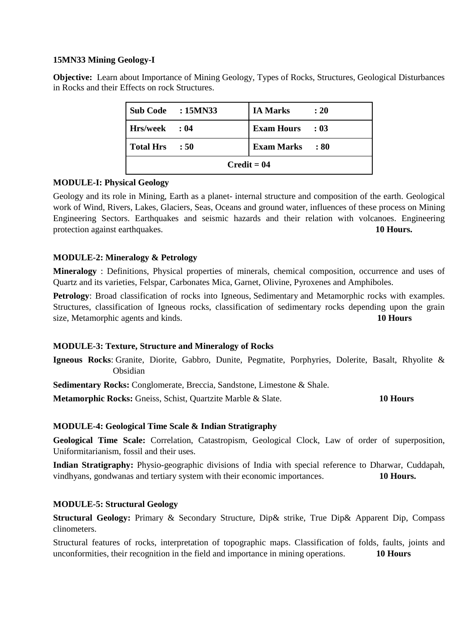## **15MN33 Mining Geology-I**

**Objective:** Learn about Importance of Mining Geology, Types of Rocks, Structures, Geological Disturbances in Rocks and their Effects on rock Structures.

|                  | Sub Code : 15MN33 | <b>IA Marks</b>        | : 20 |
|------------------|-------------------|------------------------|------|
| Hrs/week : 04    |                   | <b>Exam Hours</b> : 03 |      |
| <b>Total Hrs</b> | $\therefore$ 50   | <b>Exam Marks</b>      | :80  |
| $Credit = 04$    |                   |                        |      |

## **MODULE-I: Physical Geology**

Geology and its role in Mining, Earth as a planet- internal structure and composition of the earth. Geological work of Wind, Rivers, Lakes, Glaciers, Seas, Oceans and ground water, influences of these process on Mining Engineering Sectors. Earthquakes and seismic hazards and their relation with volcanoes. Engineering protection against earthquakes. **10 Hours.**

# **MODULE-2: Mineralogy & Petrology**

**Mineralogy** : Definitions, Physical properties of minerals, chemical composition, occurrence and uses of Quartz and its varieties, Felspar, Carbonates Mica, Garnet, Olivine, Pyroxenes and Amphiboles.

**Petrology**: Broad classification of rocks into Igneous, Sedimentary and Metamorphic rocks with examples. Structures, classification of Igneous rocks, classification of sedimentary rocks depending upon the grain size, Metamorphic agents and kinds. **10 Hours** 

#### **MODULE-3: Texture, Structure and Mineralogy of Rocks**

**Igneous Rocks**: Granite, Diorite, Gabbro, Dunite, Pegmatite, Porphyries, Dolerite, Basalt, Rhyolite & Obsidian

**Sedimentary Rocks:** Conglomerate, Breccia, Sandstone, Limestone & Shale.

**Metamorphic Rocks:** Gneiss, Schist, Quartzite Marble & Slate. **10 Hours** 

# **MODULE-4: Geological Time Scale & Indian Stratigraphy**

**Geological Time Scale:** Correlation, Catastropism, Geological Clock, Law of order of superposition, Uniformitarianism, fossil and their uses.

**Indian Stratigraphy:** Physio-geographic divisions of India with special reference to Dharwar, Cuddapah, vindhyans, gondwanas and tertiary system with their economic importances. **10 Hours.** 

#### **MODULE-5: Structural Geology**

**Structural Geology:** Primary & Secondary Structure, Dip& strike, True Dip& Apparent Dip, Compass clinometers.

Structural features of rocks, interpretation of topographic maps. Classification of folds, faults, joints and unconformities, their recognition in the field and importance in mining operations. **10 Hours**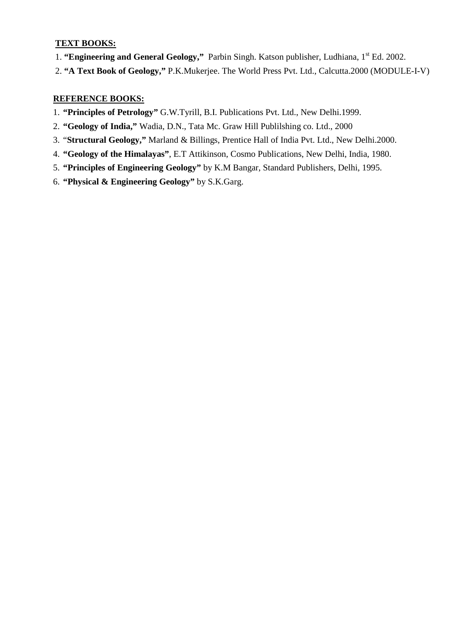# **TEXT BOOKS:**

- 1. "Engineering and General Geology," Parbin Singh. Katson publisher, Ludhiana, 1<sup>st</sup> Ed. 2002.
- 2. **"A Text Book of Geology,"** P.K.Mukerjee. The World Press Pvt. Ltd., Calcutta.2000 (MODULE-I-V)

- 1. **"Principles of Petrology"** G.W.Tyrill, B.I. Publications Pvt. Ltd., New Delhi.1999.
- 2. **"Geology of India,"** Wadia, D.N., Tata Mc. Graw Hill Publilshing co. Ltd., 2000
- 3. "**Structural Geology,"** Marland & Billings, Prentice Hall of India Pvt. Ltd., New Delhi.2000.
- 4. **"Geology of the Himalayas"**, E.T Attikinson, Cosmo Publications, New Delhi, India, 1980.
- 5. **"Principles of Engineering Geology"** by K.M Bangar, Standard Publishers, Delhi, 1995.
- 6. **"Physical & Engineering Geology"** by S.K.Garg.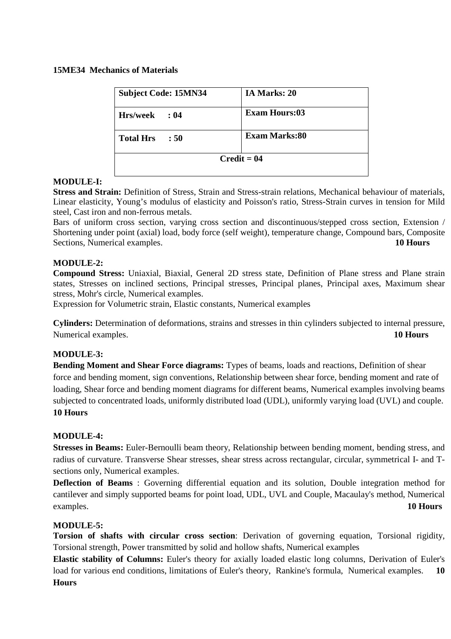#### **15ME34 Mechanics of Materials**

| <b>Subject Code: 15MN34</b> | IA Marks: 20         |  |
|-----------------------------|----------------------|--|
| <b>Hrs/week</b><br>: 04     | <b>Exam Hours:03</b> |  |
| <b>Total Hrs</b><br>: 50    | <b>Exam Marks:80</b> |  |
|                             | $Credit = 04$        |  |

## **MODULE-I:**

**Stress and Strain:** Definition of Stress, Strain and Stress-strain relations, Mechanical behaviour of materials, Linear elasticity, Young's modulus of elasticity and Poisson's ratio, Stress-Strain curves in tension for Mild steel, Cast iron and non-ferrous metals.

Bars of uniform cross section, varying cross section and discontinuous/stepped cross section, Extension / Shortening under point (axial) load, body force (self weight), temperature change, Compound bars, Composite Sections, Numerical examples. **10 Hours** 

## **MODULE-2:**

**Compound Stress:** Uniaxial, Biaxial, General 2D stress state, Definition of Plane stress and Plane strain states, Stresses on inclined sections, Principal stresses, Principal planes, Principal axes, Maximum shear stress, Mohr's circle, Numerical examples.

Expression for Volumetric strain, Elastic constants, Numerical examples

**Cylinders:** Determination of deformations, strains and stresses in thin cylinders subjected to internal pressure, Numerical examples. **10 Hours** 

# **MODULE-3:**

**Bending Moment and Shear Force diagrams:** Types of beams, loads and reactions, Definition of shear force and bending moment, sign conventions, Relationship between shear force, bending moment and rate of loading, Shear force and bending moment diagrams for different beams, Numerical examples involving beams subjected to concentrated loads, uniformly distributed load (UDL), uniformly varying load (UVL) and couple. **10 Hours** 

#### **MODULE-4:**

**Stresses in Beams:** Euler-Bernoulli beam theory, Relationship between bending moment, bending stress, and radius of curvature. Transverse Shear stresses, shear stress across rectangular, circular, symmetrical I- and Tsections only, Numerical examples.

**Deflection of Beams** : Governing differential equation and its solution, Double integration method for cantilever and simply supported beams for point load, UDL, UVL and Couple, Macaulay's method, Numerical examples. **10 Hours**

#### **MODULE-5:**

**Torsion of shafts with circular cross section**: Derivation of governing equation, Torsional rigidity, Torsional strength, Power transmitted by solid and hollow shafts, Numerical examples

**Elastic stability of Columns:** Euler's theory for axially loaded elastic long columns, Derivation of Euler's load for various end conditions, limitations of Euler's theory, Rankine's formula, Numerical examples. **10 Hours**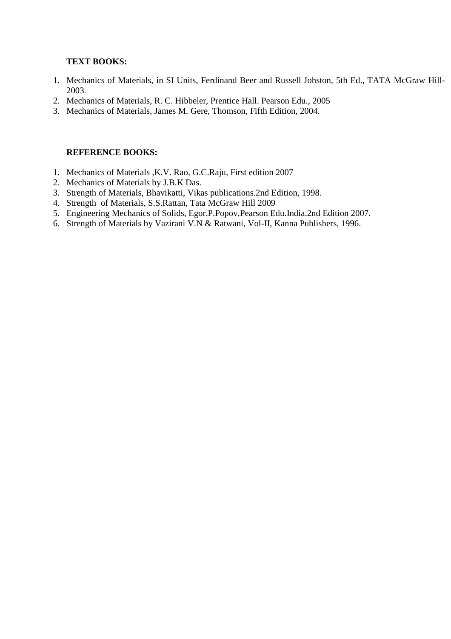## **TEXT BOOKS:**

- 1. Mechanics of Materials, in SI Units, Ferdinand Beer and Russell Johston, 5th Ed., TATA McGraw Hill-2003.
- 2. Mechanics of Materials, R. C. Hibbeler, Prentice Hall. Pearson Edu., 2005
- 3. Mechanics of Materials, James M. Gere, Thomson, Fifth Edition, 2004.

- 1. Mechanics of Materials ,K.V. Rao, G.C.Raju, First edition 2007
- 2. Mechanics of Materials by J.B.K Das.
- 3. Strength of Materials, Bhavikatti, Vikas publications.2nd Edition, 1998.
- 4. Strength of Materials, S.S.Rattan, Tata McGraw Hill 2009
- 5. Engineering Mechanics of Solids, Egor.P.Popov,Pearson Edu.India.2nd Edition 2007.
- 6. Strength of Materials by Vazirani V.N & Ratwani, Vol-II, Kanna Publishers, 1996.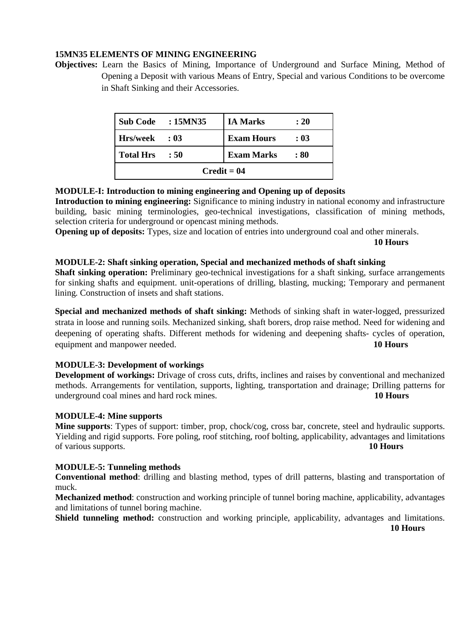#### **15MN35 ELEMENTS OF MINING ENGINEERING**

**Objectives:** Learn the Basics of Mining, Importance of Underground and Surface Mining, Method of Opening a Deposit with various Means of Entry, Special and various Conditions to be overcome in Shaft Sinking and their Accessories.

|                  | Sub Code : 15MN35 | <b>IA Marks</b>   | : 20 |
|------------------|-------------------|-------------------|------|
| Hrs/week : 03    |                   | <b>Exam Hours</b> | : 03 |
| <b>Total Hrs</b> | : 50              | <b>Exam Marks</b> | : 80 |
| $Credit = 04$    |                   |                   |      |

## **MODULE-I: Introduction to mining engineering and Opening up of deposits**

**Introduction to mining engineering:** Significance to mining industry in national economy and infrastructure building, basic mining terminologies, geo-technical investigations, classification of mining methods, selection criteria for underground or opencast mining methods.

**Opening up of deposits:** Types, size and location of entries into underground coal and other minerals.

 **10 Hours** 

## **MODULE-2: Shaft sinking operation, Special and mechanized methods of shaft sinking**

**Shaft sinking operation:** Preliminary geo-technical investigations for a shaft sinking, surface arrangements for sinking shafts and equipment. unit-operations of drilling, blasting, mucking; Temporary and permanent lining. Construction of insets and shaft stations.

**Special and mechanized methods of shaft sinking:** Methods of sinking shaft in water-logged, pressurized strata in loose and running soils. Mechanized sinking, shaft borers, drop raise method. Need for widening and deepening of operating shafts. Different methods for widening and deepening shafts- cycles of operation, equipment and manpower needed. **10 Hours** 

# **MODULE-3: Development of workings**

**Development of workings:** Drivage of cross cuts, drifts, inclines and raises by conventional and mechanized methods. Arrangements for ventilation, supports, lighting, transportation and drainage; Drilling patterns for underground coal mines and hard rock mines. **10 Hours** 

#### **MODULE-4: Mine supports**

**Mine supports**: Types of support: timber, prop, chock/cog, cross bar, concrete, steel and hydraulic supports. Yielding and rigid supports. Fore poling, roof stitching, roof bolting, applicability, advantages and limitations of various supports. **10 Hours** 

#### **MODULE-5: Tunneling methods**

**Conventional method**: drilling and blasting method, types of drill patterns, blasting and transportation of muck.

**Mechanized method**: construction and working principle of tunnel boring machine, applicability, advantages and limitations of tunnel boring machine.

**Shield tunneling method:** construction and working principle, applicability, advantages and limitations. **10 Hours**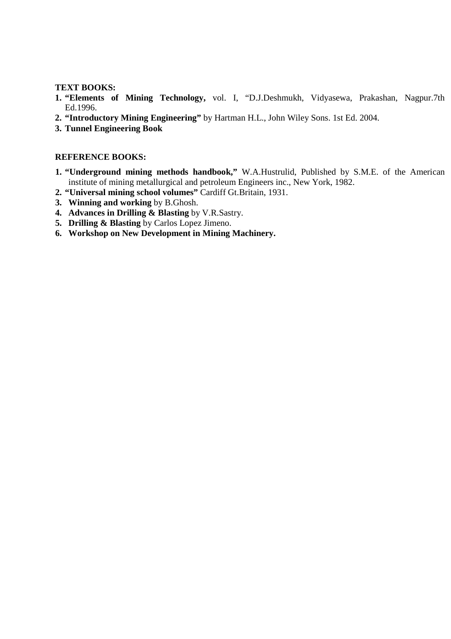#### **TEXT BOOKS:**

- **1. "Elements of Mining Technology,** vol. I, "D.J.Deshmukh, Vidyasewa, Prakashan, Nagpur.7th Ed.1996.
- **2. "Introductory Mining Engineering"** by Hartman H.L., John Wiley Sons. 1st Ed. 2004.
- **3. Tunnel Engineering Book**

- **1. "Underground mining methods handbook,"** W.A.Hustrulid, Published by S.M.E. of the American institute of mining metallurgical and petroleum Engineers inc., New York, 1982.
- **2. "Universal mining school volumes"** Cardiff Gt.Britain, 1931.
- **3. Winning and working** by B.Ghosh.
- **4. Advances in Drilling & Blasting** by V.R.Sastry.
- **5. Drilling & Blasting** by Carlos Lopez Jimeno.
- **6. Workshop on New Development in Mining Machinery.**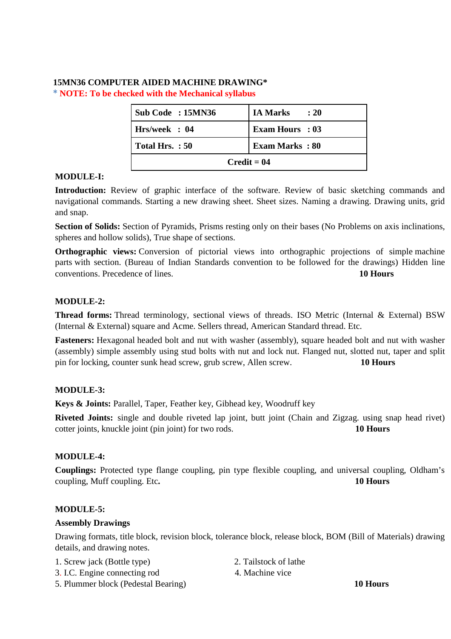# **15MN36 COMPUTER AIDED MACHINE DRAWING\* \* NOTE: To be checked with the Mechanical syllabus**

| Sub Code: 15MN36 | <b>IA Marks</b><br>$\therefore$ 20 |  |
|------------------|------------------------------------|--|
| Hrs/week: 04     | <b>Exam Hours</b> : 03             |  |
| Total Hrs.: 50   | <b>Exam Marks: 80</b>              |  |
| $Credit = 04$    |                                    |  |

#### **MODULE-I:**

**Introduction:** Review of graphic interface of the software. Review of basic sketching commands and navigational commands. Starting a new drawing sheet. Sheet sizes. Naming a drawing. Drawing units, grid and snap.

**Section of Solids:** Section of Pyramids, Prisms resting only on their bases (No Problems on axis inclinations, spheres and hollow solids), True shape of sections.

**Orthographic views:** Conversion of pictorial views into orthographic projections of simple machine parts with section. (Bureau of Indian Standards convention to be followed for the drawings) Hidden line conventions. Precedence of lines. **10 Hours**

# **MODULE-2:**

**Thread forms:** Thread terminology, sectional views of threads. ISO Metric (Internal & External) BSW (Internal & External) square and Acme. Sellers thread, American Standard thread. Etc.

**Fasteners:** Hexagonal headed bolt and nut with washer (assembly), square headed bolt and nut with washer (assembly) simple assembly using stud bolts with nut and lock nut. Flanged nut, slotted nut, taper and split pin for locking, counter sunk head screw, grub screw, Allen screw. **10 Hours** 

# **MODULE-3:**

**Keys & Joints:** Parallel, Taper, Feather key, Gibhead key, Woodruff key

**Riveted Joints:** single and double riveted lap joint, butt joint (Chain and Zigzag. using snap head rivet) cotter joints, knuckle joint (pin joint) for two rods. **10 Hours**

# **MODULE-4:**

**Couplings:** Protected type flange coupling, pin type flexible coupling, and universal coupling, Oldham's coupling, Muff coupling. Etc**. 10 Hours** 

#### **MODULE-5:**

#### **Assembly Drawings**

Drawing formats, title block, revision block, tolerance block, release block, BOM (Bill of Materials) drawing details, and drawing notes.

- 1. Screw jack (Bottle type) 2. Tailstock of lathe
- 3. I.C. Engine connecting rod 4. Machine vice
- -
- 5. Plummer block (Pedestal Bearing) **10 Hours**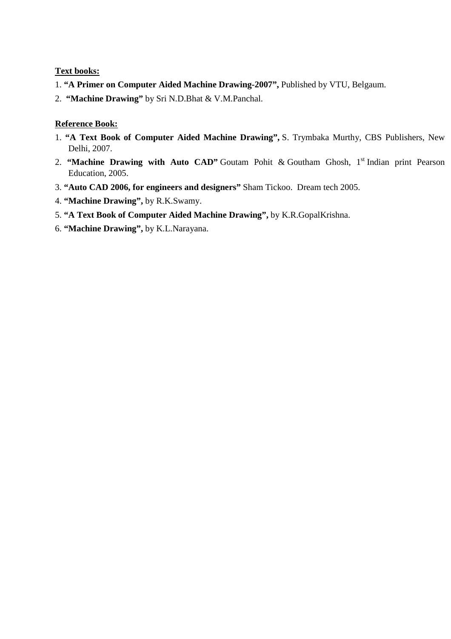## **Text books:**

- 1. **"A Primer on Computer Aided Machine Drawing-2007",** Published by VTU, Belgaum.
- 2. **"Machine Drawing"** by Sri N.D.Bhat & V.M.Panchal.

## **Reference Book:**

- 1. **"A Text Book of Computer Aided Machine Drawing",** S. Trymbaka Murthy, CBS Publishers, New Delhi, 2007.
- 2. **"Machine Drawing with Auto CAD"** Goutam Pohit & Goutham Ghosh, 1<sup>st</sup> Indian print Pearson Education, 2005.
- 3. **"Auto CAD 2006, for engineers and designers"** Sham Tickoo. Dream tech 2005.
- 4. **"Machine Drawing",** by R.K.Swamy.
- 5. **"A Text Book of Computer Aided Machine Drawing",** by K.R.GopalKrishna.
- 6. **"Machine Drawing",** by K.L.Narayana.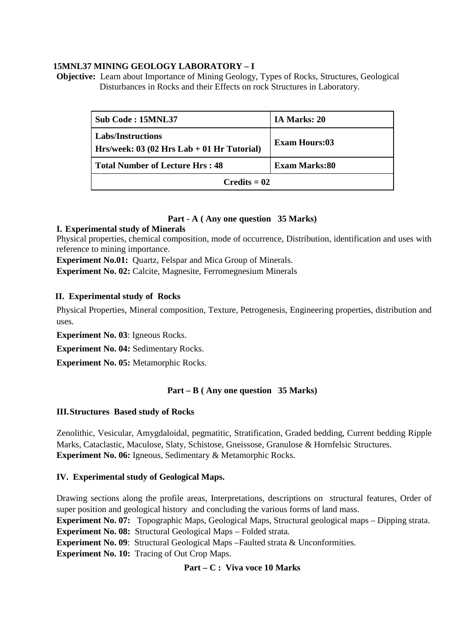## **15MNL37 MINING GEOLOGY LABORATORY – I**

**Objective:** Learn about Importance of Mining Geology, Types of Rocks, Structures, Geological Disturbances in Rocks and their Effects on rock Structures in Laboratory.

| Sub Code: 15MNL37                                                       | IA Marks: 20         |
|-------------------------------------------------------------------------|----------------------|
| <b>Labs/Instructions</b><br>Hrs/week: $03(02$ Hrs Lab + 01 Hr Tutorial) | <b>Exam Hours:03</b> |
| <b>Total Number of Lecture Hrs: 48</b>                                  | Exam Marks:80        |
| $C$ redits = 02                                                         |                      |

# **Part - A ( Any one question 35 Marks)**

## **I. Experimental study of Minerals**

Physical properties, chemical composition, mode of occurrence, Distribution, identification and uses with reference to mining importance.

**Experiment No.01:** Quartz, Felspar and Mica Group of Minerals.

**Experiment No. 02:** Calcite, Magnesite, Ferromegnesium Minerals

#### **II. Experimental study of Rocks**

Physical Properties, Mineral composition, Texture, Petrogenesis, Engineering properties, distribution and uses.

**Experiment No. 03**: Igneous Rocks.

**Experiment No. 04:** Sedimentary Rocks.

**Experiment No. 05:** Metamorphic Rocks.

#### **Part – B ( Any one question 35 Marks)**

#### **III.Structures Based study of Rocks**

Zenolithic, Vesicular, Amygdaloidal, pegmatitic, Stratification, Graded bedding, Current bedding Ripple Marks, Cataclastic, Maculose, Slaty, Schistose, Gneissose, Granulose & Hornfelsic Structures. **Experiment No. 06:** Igneous, Sedimentary & Metamorphic Rocks.

#### **IV. Experimental study of Geological Maps.**

Drawing sections along the profile areas, Interpretations, descriptions on structural features, Order of super position and geological history and concluding the various forms of land mass.

**Experiment No. 07:** Topographic Maps, Geological Maps, Structural geological maps – Dipping strata. **Experiment No. 08:** Structural Geological Maps – Folded strata.

**Experiment No. 09**: Structural Geological Maps –Faulted strata & Unconformities.

**Experiment No. 10:** Tracing of Out Crop Maps.

#### **Part – C : Viva voce 10 Marks**